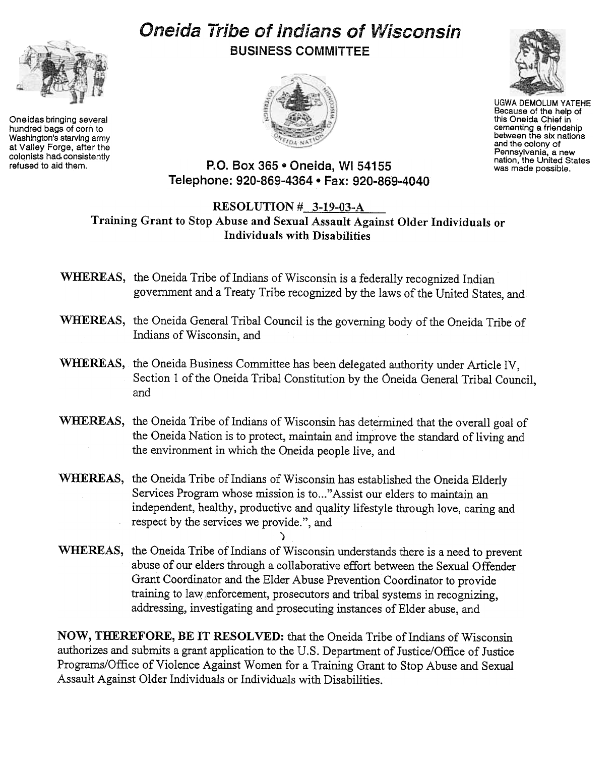

Oneidas bringing several hundred bags of corn to Washington's starving army at Valley Forge, after the colonists had consistently<br>refused to aid them.

## Oneida Tribe of Indians of Wisconsin BUSINESS COMMITTEE





UGWA DEMOLUM YATEHE Because of the help of this Oneida Chief in cementing a friendship between the six nations and the colony of Pennsylvania, a new nation, the United States was made possible.

P.O. Box 365 . Oneida, WI 54155 Telephone: 920-869-4364 · Fax: 920-869-4040

## RESOLUTION # 3-19-03-A Training Grant to Stop Abuse and Sexual Assault Against Older Individuals or Individuals with Disabilities

- WHEREAS, the Oneida Tribe of Indians of Wisconsin is a federally recognized Indian government and a Treaty Tribe recognized by the laws of the United States, and
- WHEREAS, the Oneida General Tribal Council is the governing body of the Oneida Tribe of Indians of Wisconsin, and
- WHEREAS, the Oneida Business Committee has been delegated authority under Article IV, Section 1 of the Oneida Tribal Constitution by the Oneida General Tribal Council, and
- WHEREAS, the Oneida Tribe of Indians of Wisconsin has determined that the overall goal of the Oneida Nation is to protect, maintain and improve the standard of living and the environment in which the Oneida people live, and
- WHEREAS, the Oneida Tribe of Indians of Wisconsin has established the Oneida Elderly Services Program whose mission is to..." Assist our elders to maintain an independent, healthy, productive and quality lifestyle through love, caring and respect by the services we provide.", and
- WHEREAS, the Oneida Tribe of Indians of Wisconsin understands there is a need to prevent abuse of our elders through a collaborative effort between the Sexual Offender Grant Coordinator and the Elder Abuse Prevention Coordinator to provide training to law enforcement, prosecutors and tribal systems in recognizing, addressing, investigating and prosecuting instances of Elder abuse, and

 $\sum_{i=1}^N \frac{1}{N_i}$ 

NOW, THEREFORE, BE IT RESOLVED: that the Oneida Tribe of Indians of Wisconsin authorizes and submits a grant application to the U.S. Department of Justice/Office of Justice Programs/Office of Violence Against Women for a Training Grant to Stop Abuse and Sexual Assault Against Older Individuals or Individuals with Disabilities.